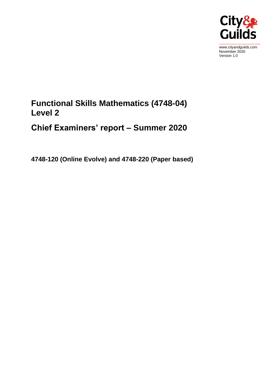

www.cityandguilds.com November 2020 Version 1.0

## **Functional Skills Mathematics (4748-04) Level 2**

# **Chief Examiners' report – Summer 2020**

**4748-120 (Online Evolve) and 4748-220 (Paper based)**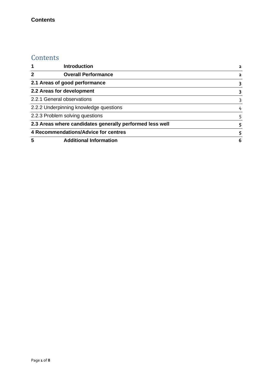### **Contents**

## **Contents**

| 1                                                        | <b>Introduction</b>           |   |
|----------------------------------------------------------|-------------------------------|---|
| $\overline{2}$                                           | <b>Overall Performance</b>    | 2 |
| 2.1 Areas of good performance                            |                               |   |
| 2.2 Areas for development                                |                               |   |
| 2.2.1 General observations                               |                               | 3 |
| 2.2.2 Underpinning knowledge questions                   |                               | 4 |
| 2.2.3 Problem solving questions                          |                               | 5 |
| 2.3 Areas where candidates generally performed less well |                               | 5 |
| 4 Recommendations/Advice for centres                     |                               |   |
| 5                                                        | <b>Additional Information</b> | 6 |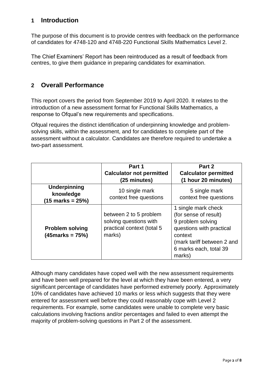## <span id="page-2-0"></span>**1 Introduction**

The purpose of this document is to provide centres with feedback on the performance of candidates for 4748-120 and 4748-220 Functional Skills Mathematics Level 2.

The Chief Examiners' Report has been reintroduced as a result of feedback from centres, to give them guidance in preparing candidates for examination.

## <span id="page-2-1"></span>**2 Overall Performance**

This report covers the period from September 2019 to April 2020. It relates to the introduction of a new assessment format for Functional Skills Mathematics, a response to Ofqual's new requirements and specifications.

Ofqual requires the distinct identification of underpinning knowledge and problemsolving skills, within the assessment, and for candidates to complete part of the assessment without a calculator. Candidates are therefore required to undertake a two-part assessment.

|                                                                 | Part 1                                                                                   | Part 2                                                                                                                                                                     |
|-----------------------------------------------------------------|------------------------------------------------------------------------------------------|----------------------------------------------------------------------------------------------------------------------------------------------------------------------------|
|                                                                 | <b>Calculator not permitted</b><br>(25 minutes)                                          | <b>Calculator permitted</b><br>(1 hour 20 minutes)                                                                                                                         |
| <b>Underpinning</b><br>knowledge<br>$(15 \text{ marks} = 25\%)$ | 10 single mark<br>context free questions                                                 | 5 single mark<br>context free questions                                                                                                                                    |
| <b>Problem solving</b><br>$(45$ marks = 75%)                    | between 2 to 5 problem<br>solving questions with<br>practical context (total 5<br>marks) | 1 single mark check<br>(for sense of result)<br>9 problem solving<br>questions with practical<br>context<br>(mark tariff between 2 and<br>6 marks each, total 39<br>marks) |

Although many candidates have coped well with the new assessment requirements and have been well prepared for the level at which they have been entered, a very significant percentage of candidates have performed extremely poorly. Approximately 10% of candidates have achieved 10 marks or less which suggests that they were entered for assessment well before they could reasonably cope with Level 2 requirements. For example, some candidates were unable to complete very basic calculations involving fractions and/or percentages and failed to even attempt the majority of problem-solving questions in Part 2 of the assessment.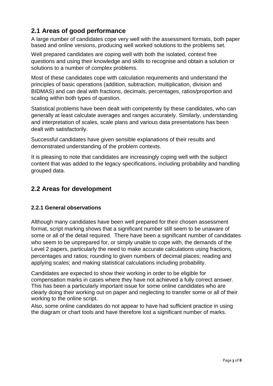## <span id="page-3-0"></span>**2.1 Areas of good performance**

A large number of candidates cope very well with the assessment formats, both paper based and online versions, producing well worked solutions to the problems set.

Well prepared candidates are coping well with both the isolated, context free questions and using their knowledge and skills to recognise and obtain a solution or solutions to a number of complex problems.

Most of these candidates cope with calculation requirements and understand the principles of basic operations (addition, subtraction, multiplication, division and BIDMAS) and can deal with fractions, decimals, percentages, ratios/proportion and scaling within both types of question.

Statistical problems have been dealt with competently by these candidates, who can generally at least calculate averages and ranges accurately. Similarly, understanding and interpretation of scales, scale plans and various data presentations has been dealt with satisfactorily.

Successful candidates have given sensible explanations of their results and demonstrated understanding of the problem contexts.

It is pleasing to note that candidates are increasingly coping well with the subject content that was added to the legacy specifications, including probability and handling grouped data.

## <span id="page-3-1"></span>**2.2 Areas for development**

#### <span id="page-3-2"></span>**2.2.1 General observations**

Although many candidates have been well prepared for their chosen assessment format, script marking shows that a significant number still seem to be unaware of some or all of the detail required. There have been a significant number of candidates who seem to be unprepared for, or simply unable to cope with, the demands of the Level 2 papers, particularly the need to make accurate calculations using fractions, percentages and ratios; rounding to given numbers of decimal places; reading and applying scales; and making statistical calculations including probability.

Candidates are expected to show their working in order to be eligible for compensation marks in cases where they have not achieved a fully correct answer. This has been a particularly important issue for some online candidates who are clearly doing their working out on paper and neglecting to transfer some or all of their working to the online script.

Also, some online candidates do not appear to have had sufficient practice in using the diagram or chart tools and have therefore lost a significant number of marks.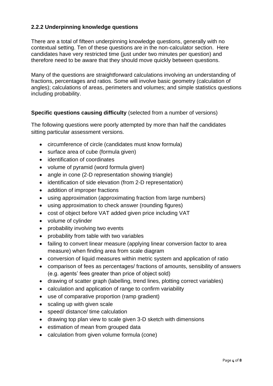#### <span id="page-4-0"></span>**2.2.2 Underpinning knowledge questions**

There are a total of fifteen underpinning knowledge questions, generally with no contextual setting. Ten of these questions are in the non-calculator section. Here candidates have very restricted time (just under two minutes per question) and therefore need to be aware that they should move quickly between questions.

Many of the questions are straightforward calculations involving an understanding of fractions, percentages and ratios. Some will involve basic geometry (calculation of angles); calculations of areas, perimeters and volumes; and simple statistics questions including probability.

#### **Specific questions causing difficulty** (selected from a number of versions)

The following questions were poorly attempted by more than half the candidates sitting particular assessment versions.

- circumference of circle (candidates must know formula)
- surface area of cube (formula given)
- identification of coordinates
- volume of pyramid (word formula given)
- angle in cone (2-D representation showing triangle)
- identification of side elevation (from 2-D representation)
- addition of improper fractions
- using approximation (approximating fraction from large numbers)
- using approximation to check answer (rounding figures)
- cost of object before VAT added given price including VAT
- volume of cylinder
- probability involving two events
- probability from table with two variables
- failing to convert linear measure (applying linear conversion factor to area measure) when finding area from scale diagram
- conversion of liquid measures within metric system and application of ratio
- comparison of fees as percentages/ fractions of amounts, sensibility of answers (e.g. agents' fees greater than price of object sold)
- drawing of scatter graph (labelling, trend lines, plotting correct variables)
- calculation and application of range to confirm variability
- use of comparative proportion (ramp gradient)
- scaling up with given scale
- speed/ distance/ time calculation
- drawing top plan view to scale given 3-D sketch with dimensions
- estimation of mean from grouped data
- calculation from given volume formula (cone)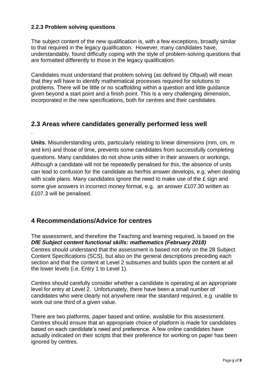#### <span id="page-5-0"></span>**2.2.3 Problem solving questions**

.

The subject content of the new qualification is, with a few exceptions, broadly similar to that required in the legacy qualification. However, many candidates have, understandably, found difficulty coping with the style of problem-solving questions that are formatted differently to those in the legacy qualification.

Candidates must understand that problem solving (as defined by Ofqual) will mean that they will have to identify mathematical processes required for solutions to problems. There will be little or no scaffolding within a question and little guidance given beyond a start point and a finish point. This is a very challenging dimension, incorporated in the new specifications, both for centres and their candidates.

### <span id="page-5-1"></span>**2.3 Areas where candidates generally performed less well**

**Units**. Misunderstanding units, particularly relating to linear dimensions (mm, cm, m and km) and those of time, prevents some candidates from successfully completing questions. Many candidates do not show units either in their answers or workings. Although a candidate will not be repeatedly penalised for this, the absence of units can lead to confusion for the candidate as her/his answer develops, e.g. when dealing with scale plans. Many candidates ignore the need to make use of the £ sign and some give answers in incorrect money format, e.g. an answer £107.30 written as £107.3 will be penalised.

## <span id="page-5-2"></span>**4 Recommendations/Advice for centres**

The assessment, and therefore the Teaching and learning required, is based on the *DfE Subject content functional skills: mathematics (February 2018)* Centres should understand that the assessment is based not only on the 28 Subject Content Specifications (SCS), but also on the general descriptions preceding each section and that the content at Level 2 subsumes and builds upon the content at all the lower levels (i.e. Entry 1 to Level 1).

Centres should carefully consider whether a candidate is operating at an appropriate level for entry at Level 2. Unfortunately, there have been a small number of candidates who were clearly not anywhere near the standard required, e.g. unable to work out one third of a given value.

There are two platforms, paper based and online, available for this assessment. Centres should ensure that an appropriate choice of platform is made for candidates based on each candidate's need and preference. A few online candidates have actually indicated on their scripts that their preference for working on paper has been ignored by centres.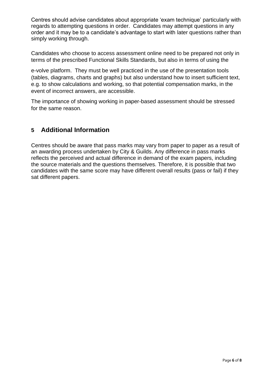Centres should advise candidates about appropriate 'exam technique' particularly with regards to attempting questions in order. Candidates may attempt questions in any order and it may be to a candidate's advantage to start with later questions rather than simply working through.

Candidates who choose to access assessment online need to be prepared not only in terms of the prescribed Functional Skills Standards, but also in terms of using the

e-volve platform. They must be well practiced in the use of the presentation tools (tables, diagrams, charts and graphs) but also understand how to insert sufficient text, e.g. to show calculations and working, so that potential compensation marks, in the event of incorrect answers, are accessible.

The importance of showing working in paper-based assessment should be stressed for the same reason.

## <span id="page-6-0"></span>**5 Additional Information**

Centres should be aware that pass marks may vary from paper to paper as a result of an awarding process undertaken by City & Guilds. Any difference in pass marks reflects the perceived and actual difference in demand of the exam papers, including the source materials and the questions themselves. Therefore, it is possible that two candidates with the same score may have different overall results (pass or fail) if they sat different papers.